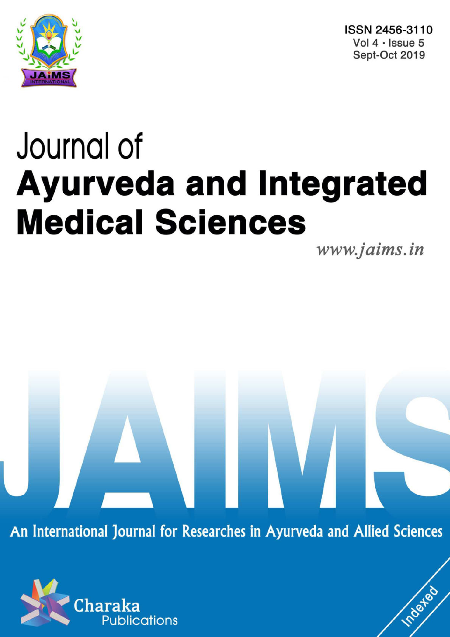

ISSN 2456-3110 Vol 4 · Issue 5 Sept-Oct 2019

# Journal of **Ayurveda and Integrated Medical Sciences**

www.jaims.in

Inderfed

An International Journal for Researches in Ayurveda and Allied Sciences

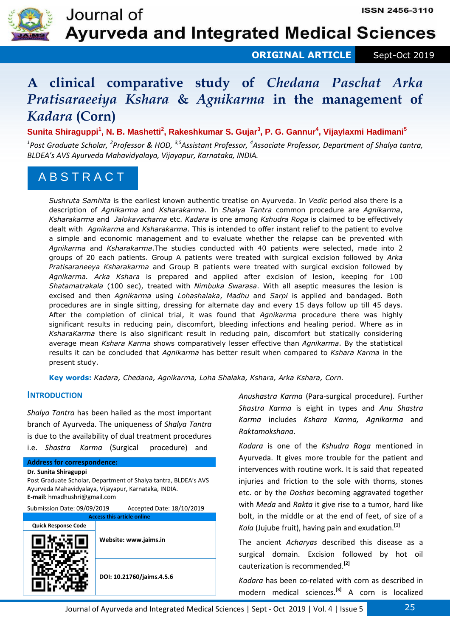

 **ORIGINAL ARTICLE** Sept-Oct 2019

# **A clinical comparative study of** *Chedana Paschat Arka Pratisaraeeiya Kshara* **&** *Agnikarma* **in the management of**  *Kadara* **(Corn)**

**Sunita Shiraguppi<sup>1</sup> , N. B. Mashetti<sup>2</sup> , Rakeshkumar S. Gujar<sup>3</sup> , P. G. Gannur<sup>4</sup> , Vijaylaxmi Hadimani<sup>5</sup>**

*1 Post Graduate Scholar, <sup>2</sup> Professor & HOD, 3,5Assistant Professor, <sup>4</sup> Associate Professor, Department of Shalya tantra, BLDEA's AVS Ayurveda Mahavidyalaya, Vijayapur, Karnataka, INDIA.* 

# A B S T R A C T

*Sushruta Samhita* is the earliest known authentic treatise on Ayurveda. In *Vedic* period also there is a description of *Agnikarma* and *Ksharakarma*. In *Shalya Tantra* common procedure are *Agnikarma*, *Ksharakarma* and *Jalokavacharna* etc. *Kadara* is one among *Kshudra Roga* is claimed to be effectively dealt with *Agnikarma* and *Ksharakarma*. This is intended to offer instant relief to the patient to evolve a simple and economic management and to evaluate whether the relapse can be prevented with *Agnikarma* and *Ksharakarma*.The studies conducted with 40 patients were selected, made into 2 groups of 20 each patients. Group A patients were treated with surgical excision followed by *Arka Pratisaraneeya Ksharakarma* and Group B patients were treated with surgical excision followed by *Agnikarma. Arka Kshara* is prepared and applied after excision of lesion, keeping for 100 *Shatamatrakala* (100 sec), treated with *Nimbuka Swarasa*. With all aseptic measures the lesion is excised and then *Agnikarma* using *Lohashalaka*, *Madhu* and *Sarpi* is applied and bandaged. Both procedures are in single sitting, dressing for alternate day and every 15 days follow up till 45 days. After the completion of clinical trial, it was found that *Agnikarma* procedure there was highly significant results in reducing pain, discomfort, bleeding infections and healing period. Where as in *KsharaKarma* there is also significant result in reducing pain, discomfort but statically considering average mean *Kshara Karma* shows comparatively lesser effective than *Agnikarma*. By the statistical results it can be concluded that *Agnikarma* has better result when compared to *Kshara Karma* in the present study.

**Key words:** *Kadara, Chedana, Agnikarma, Loha Shalaka, Kshara, Arka Kshara, Corn.* 

### **INTRODUCTION**

*Shalya Tantra* has been hailed as the most important branch of Ayurveda. The uniqueness of *Shalya Tantra* is due to the availability of dual treatment procedures i.e. *Shastra Karma* (Surgical procedure) and

#### **Address for correspondence:**

**Dr. Sunita Shiraguppi** 

Post Graduate Scholar, Department of Shalya tantra, BLDEA's AVS Ayurveda Mahavidyalaya, Vijayapur, Karnataka, INDIA. **E-mail:** hmadhushri@gmail.com

| Submission Date: 09/09/2019 | Accepted Date: 18/10/2019 |
|-----------------------------|---------------------------|
|                             |                           |

| <b>Access this article online</b> |                           |  |  |  |
|-----------------------------------|---------------------------|--|--|--|
| <b>Quick Response Code</b>        |                           |  |  |  |
|                                   | Website: www.jaims.in     |  |  |  |
|                                   | DOI: 10.21760/jaims.4.5.6 |  |  |  |

*Anushastra Karma* (Para-surgical procedure). Further *Shastra Karma* is eight in types and *Anu Shastra Karma* includes *Kshara Karma, Agnikarma* and *Raktamokshana*.

*Kadara* is one of the *Kshudra Roga* mentioned in Ayurveda. It gives more trouble for the patient and intervences with routine work. It is said that repeated injuries and friction to the sole with thorns, stones etc. or by the *Doshas* becoming aggravated together with *Meda* and *Rakta* it give rise to a tumor, hard like bolt, in the middle or at the end of feet, of size of a *Kola* (Jujube fruit), having pain and exudation.**[1]**

The ancient *Acharyas* described this disease as a surgical domain. Excision followed by hot oil cauterization is recommended.**[2]**

*Kadara* has been co-related with corn as described in modern medical sciences.**[3]** A corn is localized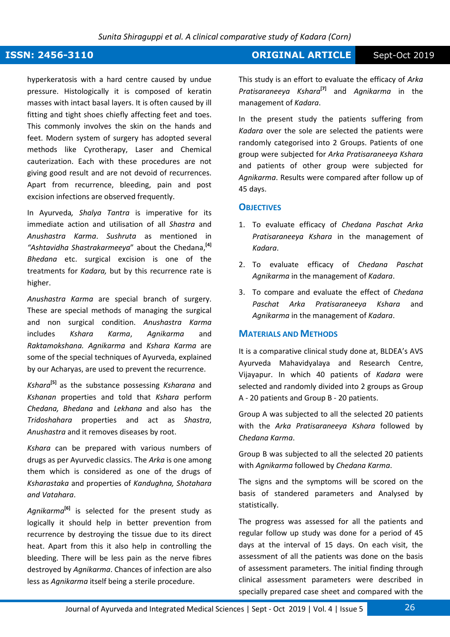hyperkeratosis with a hard centre caused by undue pressure. Histologically it is composed of keratin masses with intact basal layers. It is often caused by ill fitting and tight shoes chiefly affecting feet and toes. This commonly involves the skin on the hands and feet. Modern system of surgery has adopted several methods like Cyrotherapy, Laser and Chemical cauterization. Each with these procedures are not giving good result and are not devoid of recurrences. Apart from recurrence, bleeding, pain and post excision infections are observed frequently.

In Ayurveda*, Shalya Tantra* is imperative for its immediate action and utilisation of all *Shastra* and *Anushastra Karma*. *Sushruta* as mentioned in *"Ashtavidha Shastrakarmeeya*" about the Chedana,**[4]** *Bhedana* etc. surgical excision is one of the treatments for *Kadara,* but by this recurrence rate is higher.

*Anushastra Karma* are special branch of surgery. These are special methods of managing the surgical and non surgical condition. *Anushastra Karma* includes *Kshara Karma*, *Agnikarma* and *Raktamokshana. Agnikarma* and *Kshara Karma* are some of the special techniques of Ayurveda, explained by our Acharyas, are used to prevent the recurrence.

*Kshara***[5]** as the substance possessing *Ksharana* and *Kshanan* properties and told that *Kshara* perform *Chedana, Bhedana* and *Lekhana* and also has the *Tridoshahara* properties and act as *Shastra*, *Anushastra* and it removes diseases by root.

*Kshara* can be prepared with various numbers of drugs as per Ayurvedic classics. The *Arka* is one among them which is considered as one of the drugs of *Ksharastaka* and properties of *Kandughna, Shotahara and Vatahara*.

*Agnikarma***[6]** is selected for the present study as logically it should help in better prevention from recurrence by destroying the tissue due to its direct heat. Apart from this it also help in controlling the bleeding. There will be less pain as the nerve fibres destroyed by *Agnikarma*. Chances of infection are also less as *Agnikarma* itself being a sterile procedure.

# **ISSN: 2456-3110 CONSERVERTIGE Sept-Oct 2019**

This study is an effort to evaluate the efficacy of *Arka Pratisaraneeya Kshara***[7]** and *Agnikarma* in the management of *Kadara*.

In the present study the patients suffering from *Kadara* over the sole are selected the patients were randomly categorised into 2 Groups. Patients of one group were subjected for *Arka Pratisaraneeya Kshara* and patients of other group were subjected for *Agnikarma*. Results were compared after follow up of 45 days.

#### **OBJECTIVES**

- 1. To evaluate efficacy of *Chedana Paschat Arka Pratisaraneeya Kshara* in the management of *Kadara*.
- 2. To evaluate efficacy of *Chedana Paschat Agnikarma* in the management of *Kadara*.
- 3. To compare and evaluate the effect of *Chedana Paschat Arka Pratisaraneeya Kshara* and *Agnikarma* in the management of *Kadara*.

#### **MATERIALS AND METHODS**

It is a comparative clinical study done at, BLDEA's AVS Ayurveda Mahavidyalaya and Research Centre, Vijayapur. In which 40 patients of *Kadara* were selected and randomly divided into 2 groups as Group A - 20 patients and Group B - 20 patients.

Group A was subjected to all the selected 20 patients with the *Arka Pratisaraneeya Kshara* followed by *Chedana Karma*.

Group B was subjected to all the selected 20 patients with *Agnikarma* followed by *Chedana Karma*.

The signs and the symptoms will be scored on the basis of standered parameters and Analysed by statistically.

The progress was assessed for all the patients and regular follow up study was done for a period of 45 days at the interval of 15 days. On each visit, the assessment of all the patients was done on the basis of assessment parameters. The initial finding through clinical assessment parameters were described in specially prepared case sheet and compared with the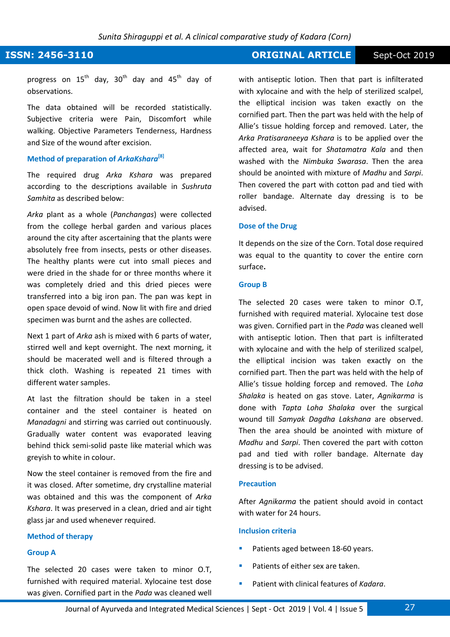## **ISSN: 2456-3110 CONSERVERTIGE Sept-Oct 2019**

progress on  $15^{th}$  day,  $30^{th}$  day and  $45^{th}$  day of observations.

The data obtained will be recorded statistically. Subjective criteria were Pain, Discomfort while walking. Objective Parameters Tenderness, Hardness and Size of the wound after excision.

### **Method of preparation of** *ArkaKshara***[8]**

The required drug *Arka Kshara* was prepared according to the descriptions available in *Sushruta Samhita* as described below:

*Arka* plant as a whole (*Panchangas*) were collected from the college herbal garden and various places around the city after ascertaining that the plants were absolutely free from insects, pests or other diseases. The healthy plants were cut into small pieces and were dried in the shade for or three months where it was completely dried and this dried pieces were transferred into a big iron pan. The pan was kept in open space devoid of wind. Now lit with fire and dried specimen was burnt and the ashes are collected.

Next 1 part of *Arka* ash is mixed with 6 parts of water, stirred well and kept overnight. The next morning, it should be macerated well and is filtered through a thick cloth. Washing is repeated 21 times with different water samples.

At last the filtration should be taken in a steel container and the steel container is heated on *Manadagni* and stirring was carried out continuously. Gradually water content was evaporated leaving behind thick semi-solid paste like material which was greyish to white in colour.

Now the steel container is removed from the fire and it was closed. After sometime, dry crystalline material was obtained and this was the component of *Arka Kshara*. It was preserved in a clean, dried and air tight glass jar and used whenever required.

#### **Method of therapy**

#### **Group A**

The selected 20 cases were taken to minor O.T, furnished with required material. Xylocaine test dose was given. Cornified part in the *Pada* was cleaned well with antiseptic lotion. Then that part is infilterated with xylocaine and with the help of sterilized scalpel, the elliptical incision was taken exactly on the cornified part. Then the part was held with the help of Allie's tissue holding forcep and removed. Later, the *Arka Pratisaraneeya Kshara* is to be applied over the affected area, wait for *Shatamatra Kala* and then washed with the *Nimbuka Swarasa*. Then the area should be anointed with mixture of *Madhu* and *Sarpi*. Then covered the part with cotton pad and tied with roller bandage. Alternate day dressing is to be advised.

#### **Dose of the Drug**

It depends on the size of the Corn. Total dose required was equal to the quantity to cover the entire corn surface**.** 

#### **Group B**

The selected 20 cases were taken to minor O.T, furnished with required material. Xylocaine test dose was given. Cornified part in the *Pada* was cleaned well with antiseptic lotion. Then that part is infilterated with xylocaine and with the help of sterilized scalpel, the elliptical incision was taken exactly on the cornified part. Then the part was held with the help of Allie's tissue holding forcep and removed. The *Loha Shalaka* is heated on gas stove. Later, *Agnikarma* is done with *Tapta Loha Shalaka* over the surgical wound till *Samyak Dagdha Lakshana* are observed. Then the area should be anointed with mixture of *Madhu* and *Sarpi*. Then covered the part with cotton pad and tied with roller bandage. Alternate day dressing is to be advised.

#### **Precaution**

After *Agnikarma* the patient should avoid in contact with water for 24 hours.

#### **Inclusion criteria**

- Patients aged between 18-60 years.
- Patients of either sex are taken.
- Patient with clinical features of *Kadara*.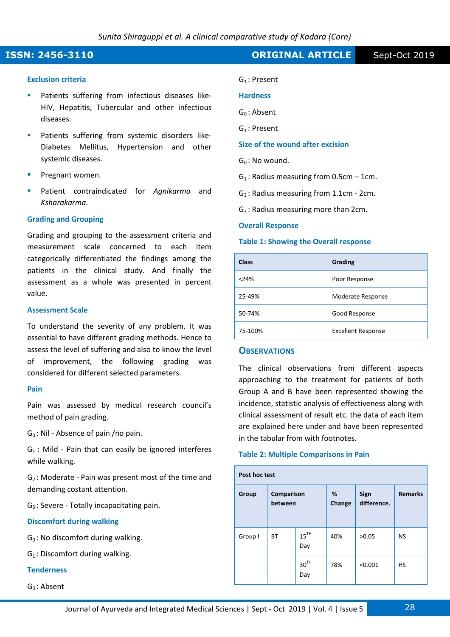#### **Exclusion criteria**

- Patients suffering from infectious diseases like-HIV, Hepatitis, Tubercular and other infectious diseases.
- Patients suffering from systemic disorders like-Diabetes Mellitus, Hypertension and other systemic diseases.
- Pregnant women.
- Patient contraindicated for *Agnikarma* and *Ksharakarma*.

### **Grading and Grouping**

Grading and grouping to the assessment criteria and measurement scale concerned to each item categorically differentiated the findings among the patients in the clinical study. And finally the assessment as a whole was presented in percent value.

#### **Assessment Scale**

To understand the severity of any problem. It was essential to have different grading methods. Hence to assess the level of suffering and also to know the level of improvement, the following grading was considered for different selected parameters.

#### **Pain**

Pain was assessed by medical research council's method of pain grading.

 $G_0$ : Nil - Absence of pain /no pain.

 $G_1$ : Mild - Pain that can easily be ignored interferes while walking.

 $G<sub>2</sub>$ : Moderate - Pain was present most of the time and demanding costant attention.

 $G_3$ : Severe - Totally incapacitating pain.

#### **Discomfort during walking**

 $G_0$ : No discomfort during walking.

 $G_1$ : Discomfort during walking.

#### **Tenderness**

 $G_0$ : Absent

# **ISSN: 2456-3110 CONSERVERTIGE Sept-Oct 2019**

G<sub>1</sub>: Present

#### **Hardness**

G<sub>0</sub>: Absent

G<sub>1</sub>: Present

**Size of the wound after excision** 

 $G_0$ : No wound.

 $G_1$ : Radius measuring from 0.5cm - 1cm.

 $G<sub>2</sub>$ : Radius measuring from 1.1cm - 2cm.

 $G_3$ : Radius measuring more than 2cm.

#### **Overall Response**

#### **Table 1: Showing the Overall response**

| <b>Class</b> | Grading                   |
|--------------|---------------------------|
| < 24%        | Poor Response             |
| 25-49%       | Moderate Response         |
| 50-74%       | Good Response             |
| 75-100%      | <b>Excellent Response</b> |

### **OBSERVATIONS**

The clinical observations from different aspects approaching to the treatment for patients of both Group A and B have been represented showing the incidence, statistic analysis of effectiveness along with clinical assessment of result etc. the data of each item are explained here under and have been represented in the tabular from with footnotes.

#### **Table 2: Multiple Comparisons in Pain**

| Post hoc test |                       |                         |             |                     |                |  |
|---------------|-----------------------|-------------------------|-------------|---------------------|----------------|--|
| Group         | Comparison<br>between |                         | %<br>Change | Sign<br>difference. | <b>Remarks</b> |  |
| Group I       | ВT                    | $15^{TH}$<br>Day        | 40%         | >0.05               | <b>NS</b>      |  |
|               |                       | 30 <sup>TH</sup><br>Day | 78%         | < 0.001             | HS             |  |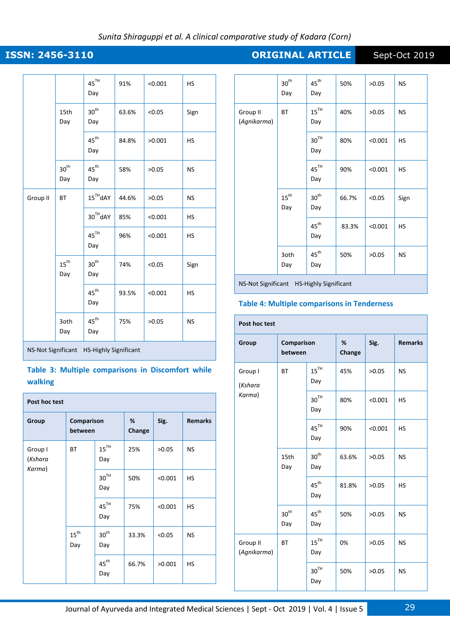# **ISSN: 2456-3110 CONSERVERTIGE Sept-Oct 2019**

|                                                    |                         | $45^{\rm{TH}}$<br>Day   | 91%   | < 0.001 | HS        |  |
|----------------------------------------------------|-------------------------|-------------------------|-------|---------|-----------|--|
|                                                    | 15th<br>Day             | 30 <sup>th</sup><br>Day | 63.6% | < 0.05  | Sign      |  |
|                                                    |                         | $45^{\text{th}}$<br>Day | 84.8% | >0.001  | HS        |  |
|                                                    | $30^{\text{th}}$<br>Day | $45^{\text{th}}$<br>Day | 58%   | >0.05   | <b>NS</b> |  |
| Group II                                           | <b>BT</b>               | $15^{\text{TH}}$ dAY    | 44.6% | >0.05   | <b>NS</b> |  |
|                                                    |                         | 30 <sup>TH</sup> dAY    | 85%   | < 0.001 | HS        |  |
|                                                    |                         | $45^{\text{TH}}$<br>Day | 96%   | < 0.001 | <b>HS</b> |  |
| $15^{th}$<br>Day                                   |                         | $30^{\text{th}}$<br>Day | 74%   | < 0.05  | Sign      |  |
|                                                    |                         | $45^{\text{th}}$<br>Day | 93.5% | < 0.001 | <b>HS</b> |  |
|                                                    | 3oth<br>Day             | $45^{\text{th}}$<br>Day | 75%   | >0.05   | <b>NS</b> |  |
| NS-Not Significant<br><b>HS-Highly Significant</b> |                         |                         |       |         |           |  |

### **Table 3: Multiple comparisons in Discomfort while walking**

| Post hoc test                |                       |                         |             |         |                |  |
|------------------------------|-----------------------|-------------------------|-------------|---------|----------------|--|
| Group                        | Comparison<br>between |                         | %<br>Change | Sig.    | <b>Remarks</b> |  |
| Group I<br>(Kshara<br>Karma) | <b>BT</b>             | $15^{TH}$<br>Day        | 25%         | >0.05   | <b>NS</b>      |  |
|                              |                       | $30^{\rm TH}$<br>Day    | 50%         | < 0.001 | <b>HS</b>      |  |
|                              |                       | $45^{\text{TH}}$<br>Day | 75%         | < 0.001 | <b>HS</b>      |  |
|                              | $15^{th}$<br>Day      | $30^{\text{th}}$<br>Day | 33.3%       | < 0.05  | <b>NS</b>      |  |
|                              |                       | $45^{\text{th}}$<br>Day | 66.7%       | >0.001  | HS             |  |

|                         | $30^{\rm th}$<br>Day    | $45^{\rm th}$<br>Day    | 50%   | >0.05   | <b>NS</b> |
|-------------------------|-------------------------|-------------------------|-------|---------|-----------|
| Group II<br>(Agnikarma) | BT                      | $15^{TH}$<br>Day        | 40%   | >0.05   | <b>NS</b> |
|                         |                         | $30^{\rm TH}$<br>Day    | 80%   | < 0.001 | HS        |
|                         |                         | 45 <sup>TH</sup><br>Day | 90%   | < 0.001 | HS        |
|                         | $15^{\text{th}}$<br>Day | $30^{\text{th}}$<br>Day | 66.7% | < 0.05  | Sign      |
|                         |                         | $45^{\rm th}$<br>Day    | 83.3% | < 0.001 | HS        |
|                         | 3oth<br>Day             | $45^{\text{th}}$<br>Day | 50%   | >0.05   | <b>NS</b> |
|                         |                         |                         |       |         |           |

NS-Not Significant HS-Highly Significant

### **Table 4: Multiple comparisons in Tenderness**

#### **Post hoc test Group Comparison between % Change Sig. Remarks**  Group I (*Kshara Karma*) BT  $15^{TH}$ Day 45% |  $>0.05$  | NS  $30<sup>TH</sup>$ Day 80% <0.001 | HS  $45^{\text{TH}}$ Day 90% <0.001 HS 15th Day  $30<sup>th</sup>$ Day 63.6%  $\big| >0.05 \big|$  NS  $45^{\text{th}}$ Day 81.8%  $\Big|$  >0.05  $\Big|$  HS  $30^{\text{th}}$ Day  $45^{\text{th}}$ Day 50% |  $>0.05$  | NS Group II (*Agnikarma*) BT  $15^{\text{TH}}$ Day 0%  $|>0.05$  NS  $30^{\text{TH}}$ Day 50% |  $>0.05$  | NS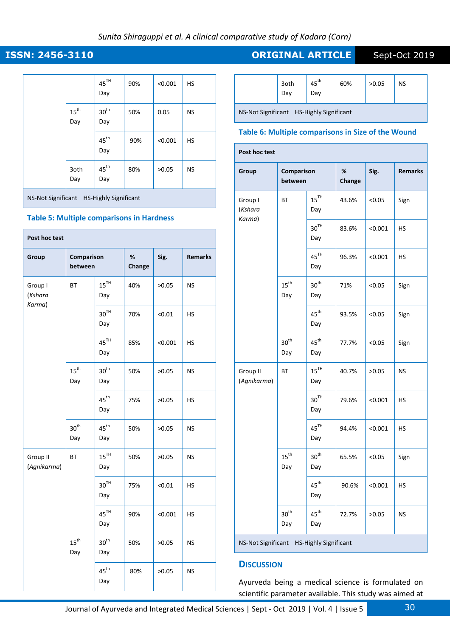### *Sunita Shiraguppi et al. A clinical comparative study of Kadara (Corn)*

|                                                           |                         | $45^{\text{TH}}$<br>Day | 90% | < 0.001 | <b>HS</b> |  |
|-----------------------------------------------------------|-------------------------|-------------------------|-----|---------|-----------|--|
|                                                           | $15^{\text{th}}$<br>Day | 30 <sup>th</sup><br>Day | 50% | 0.05    | <b>NS</b> |  |
|                                                           |                         | $45^{\text{th}}$<br>Day | 90% | < 0.001 | <b>HS</b> |  |
|                                                           | 3oth<br>Day             | $45^{\text{th}}$<br>Day | 80% | >0.05   | <b>NS</b> |  |
| <b>HS-Highly Significant</b><br><b>NS-Not Significant</b> |                         |                         |     |         |           |  |

#### **Table 5: Multiple comparisons in Hardness**

| Post hoc test                |                           |                           |             |         |                |  |
|------------------------------|---------------------------|---------------------------|-------------|---------|----------------|--|
| Group                        | Comparison<br>between     |                           | %<br>Change | Sig.    | <b>Remarks</b> |  |
| Group I<br>(Kshara<br>Karma) | ВT                        | $15^{TH}$<br>Day          | 40%         | >0.05   | <b>NS</b>      |  |
|                              |                           | 30 <sup>TH</sup><br>Day   | 70%         | < 0.01  | HS             |  |
|                              |                           | 45 <sup>TH</sup><br>Day   | 85%         | < 0.001 | HS             |  |
|                              | $15^{\text{th}}$<br>Day   | $30^{\text{th}}$<br>Day   | 50%         | >0.05   | <b>NS</b>      |  |
|                              |                           | $45^{\text{th}}$<br>Day   | 75%         | >0.05   | HS             |  |
|                              | 30 <sup>th</sup><br>Day   | $45^{\text{th}}$<br>Day   | 50%         | >0.05   | <b>NS</b>      |  |
| Group II<br>(Agnikarma)      | ВT                        | $15$ <sup>TH</sup><br>Day | 50%         | >0.05   | <b>NS</b>      |  |
|                              |                           | 30 <sup>TH</sup><br>Day   | 75%         | < 0.01  | НS             |  |
|                              |                           | $45^{\text{TH}}$<br>Day   | 90%         | < 0.001 | HS             |  |
|                              | $15^{\mathrm{th}}$<br>Day | 30 <sup>th</sup><br>Day   | 50%         | >0.05   | NS             |  |
|                              |                           | $45^{\text{th}}$<br>Day   | 80%         | >0.05   | NS             |  |

# **ISSN: 2456-3110 CRIGINAL ARTICLE** Sept-Oct 2019

|                                          | 3oth<br>Dav | $45^{\text{th}}$<br>Dav | 60% | >0.05 | NS |  |  |
|------------------------------------------|-------------|-------------------------|-----|-------|----|--|--|
| NS-Not Significant HS-Highly Significant |             |                         |     |       |    |  |  |

#### **Table 6: Multiple comparisons in Size of the Wound**

| Group                        | Comparison<br>between   |                         | %<br>Change | Sig.    | <b>Remarks</b> |  |
|------------------------------|-------------------------|-------------------------|-------------|---------|----------------|--|
| Group I<br>(Kshara<br>Karma) | <b>BT</b>               | $15^{TH}$<br>Day        | 43.6%       | < 0.05  | Sign           |  |
|                              |                         | 30 <sup>TH</sup><br>Day | 83.6%       | < 0.001 | НS             |  |
|                              |                         | 45 <sup>TH</sup><br>Day | 96.3%       | < 0.001 | НS             |  |
|                              | $15^{\text{th}}$<br>Day | 30 <sup>th</sup><br>Day | 71%         | < 0.05  | Sign           |  |
|                              |                         | $45^{\text{th}}$<br>Day | 93.5%       | < 0.05  | Sign           |  |
|                              | $30^{\text{th}}$<br>Day | $45^{\text{th}}$<br>Day | 77.7%       | < 0.05  | Sign           |  |
| Group II<br>(Agnikarma)      | ВT                      | $15^{TH}$<br>Day        | 40.7%       | >0.05   | <b>NS</b>      |  |
|                              |                         | 30 <sup>TH</sup><br>Day | 79.6%       | < 0.001 | HS             |  |
|                              |                         | 45 <sup>TH</sup><br>Day | 94.4%       | < 0.001 | HS             |  |
|                              | $15^{\text{th}}$<br>Day | $30^{\text{th}}$<br>Day | 65.5%       | < 0.05  | Sign           |  |
|                              |                         | $45^{\text{th}}$<br>Day | 90.6%       | < 0.001 | HS             |  |
|                              | 30 <sup>th</sup><br>Day | $45^{\text{th}}$<br>Day | 72.7%       | >0.05   | NS             |  |

NS-Not Significant HS-Highly Significant

#### **DISCUSSION**

Ayurveda being a medical science is formulated on scientific parameter available. This study was aimed at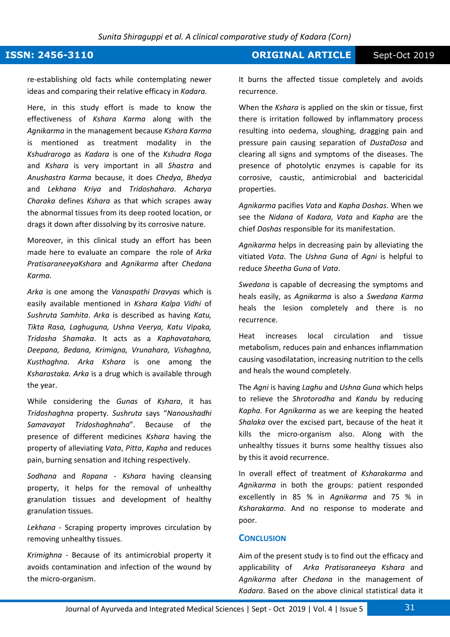### **ISSN: 2456-3110 CONSERVERTIGE Sept-Oct 2019**

re-establishing old facts while contemplating newer ideas and comparing their relative efficacy in *Kadara*.

Here, in this study effort is made to know the effectiveness of *Kshara Karma* along with the *Agnikarma* in the management because *Kshara Karma* is mentioned as treatment modality in the *Kshudraroga* as *Kadara* is one of the *Kshudra Roga* and *Kshara* is very important in all *Shastra* and *Anushastra Karma* because, it does *Chedya*, *Bhedya*  and *Lekhana Kriya* and *Tridoshahara*. *Acharya Charaka* defines *Kshara* as that which scrapes away the abnormal tissues from its deep rooted location, or drags it down after dissolving by its corrosive nature.

Moreover, in this clinical study an effort has been made here to evaluate an compare the role of *Arka PratisaraneeyaKshara* and *Agnikarma* after *Chedana Karma*.

*Arka* is one among the *Vanaspathi Dravyas* which is easily available mentioned in *Kshara Kalpa Vidhi* of *Sushruta Samhita*. *Arka* is described as having *Katu, Tikta Rasa, Laghuguna, Ushna Veerya, Katu Vipaka, Tridosha Shamaka*. It acts as a *Kaphavatahara, Deepana, Bedana, Krimigna, Vrunahara, Vishaghna, Kusthaghna. Arka Kshara* is one among the *Ksharastaka. Arka* is a drug which is available through the year.

While considering the *Gunas* of *Kshara*, it has *Tridoshaghna* property. *Sushruta* says "*Nanoushadhi Samavayat Tridoshaghnaha*". Because of the presence of different medicines *Kshara* having the property of alleviating *Vata*, *Pitta*, *Kapha* and reduces pain, burning sensation and itching respectively.

*Sodhana* and *Ropana* - *Kshara* having cleansing property, it helps for the removal of unhealthy granulation tissues and development of healthy granulation tissues.

*Lekhana* - Scraping property improves circulation by removing unhealthy tissues.

*Krimighna* - Because of its antimicrobial property it avoids contamination and infection of the wound by the micro-organism.

It burns the affected tissue completely and avoids recurrence.

When the *Kshara* is applied on the skin or tissue, first there is irritation followed by inflammatory process resulting into oedema, sloughing, dragging pain and pressure pain causing separation of *DustaDosa* and clearing all signs and symptoms of the diseases. The presence of photolytic enzymes is capable for its corrosive, caustic, antimicrobial and bactericidal properties.

*Agnikarma* pacifies *Vata* and *Kapha Doshas*. When we see the *Nidana* of *Kadara*, *Vata* and *Kapha* are the chief *Doshas* responsible for its manifestation.

*Agnikarma* helps in decreasing pain by alleviating the vitiated *Vata*. The *Ushna Guna* of *Agni* is helpful to reduce *Sheetha Guna* of *Vata*.

*Swedana* is capable of decreasing the symptoms and heals easily, as *Agnikarma* is also a *Swedana Karma* heals the lesion completely and there is no recurrence.

Heat increases local circulation and tissue metabolism, reduces pain and enhances inflammation causing vasodilatation, increasing nutrition to the cells and heals the wound completely.

The *Agni* is having *Laghu* and *Ushna Guna* which helps to relieve the *Shrotorodha* and *Kandu* by reducing *Kapha*. For *Agnikarma* as we are keeping the heated *Shalaka* over the excised part, because of the heat it kills the micro-organism also. Along with the unhealthy tissues it burns some healthy tissues also by this it avoid recurrence.

In overall effect of treatment of *Ksharakarma* and *Agnikarma* in both the groups: patient responded excellently in 85 % in *Agnikarma* and 75 % in *Ksharakarma*. And no response to moderate and poor.

#### **CONCLUSION**

Aim of the present study is to find out the efficacy and applicability of *Arka Pratisaraneeya Kshara* and *Agnikarma* after *Chedana* in the management of *Kadara*. Based on the above clinical statistical data it